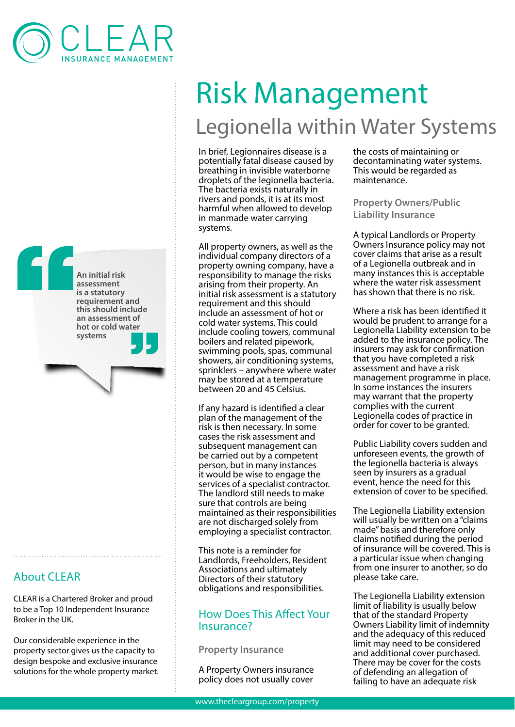



## About CLEAR

CLEAR is a Chartered Broker and proud to be a Top 10 Independent Insurance Broker in the UK.

Our considerable experience in the property sector gives us the capacity to design bespoke and exclusive insurance solutions for the whole property market.

# Risk Management Legionella within Water Systems

In brief, Legionnaires disease is a potentially fatal disease caused by breathing in invisible waterborne droplets of the legionella bacteria. The bacteria exists naturally in rivers and ponds, it is at its most harmful when allowed to develop in manmade water carrying systems.

All property owners, as well as the individual company directors of a property owning company, have a responsibility to manage the risks arising from their property. An initial risk assessment is a statutory requirement and this should include an assessment of hot or cold water systems. This could include cooling towers, communal boilers and related pipework, swimming pools, spas, communal showers, air conditioning systems, sprinklers – anywhere where water may be stored at a temperature between 20 and 45 Celsius.

If any hazard is identified a clear plan of the management of the risk is then necessary. In some cases the risk assessment and subsequent management can be carried out by a competent person, but in many instances it would be wise to engage the services of a specialist contractor. The landlord still needs to make sure that controls are being maintained as their responsibilities are not discharged solely from employing a specialist contractor.

This note is a reminder for Landlords, Freeholders, Resident Associations and ultimately Directors of their statutory obligations and responsibilities.

### How Does This Affect Your Insurance?

**Property Insurance**

A Property Owners insurance policy does not usually cover the costs of maintaining or decontaminating water systems. This would be regarded as maintenance.

**Property Owners/Public Liability Insurance**

A typical Landlords or Property Owners Insurance policy may not cover claims that arise as a result of a Legionella outbreak and in many instances this is acceptable where the water risk assessment has shown that there is no risk.

Where a risk has been identified it would be prudent to arrange for a Legionella Liability extension to be added to the insurance policy. The insurers may ask for confirmation that you have completed a risk assessment and have a risk management programme in place. In some instances the insurers may warrant that the property complies with the current Legionella codes of practice in order for cover to be granted.

Public Liability covers sudden and unforeseen events, the growth of the legionella bacteria is always seen by insurers as a gradual event, hence the need for this extension of cover to be specified.

The Legionella Liability extension will usually be written on a "claims made" basis and therefore only claims notified during the period of insurance will be covered. This is a particular issue when changing from one insurer to another, so do please take care.

The Legionella Liability extension limit of liability is usually below that of the standard Property Owners Liability limit of indemnity and the adequacy of this reduced limit may need to be considered and additional cover purchased. There may be cover for the costs of defending an allegation of failing to have an adequate risk